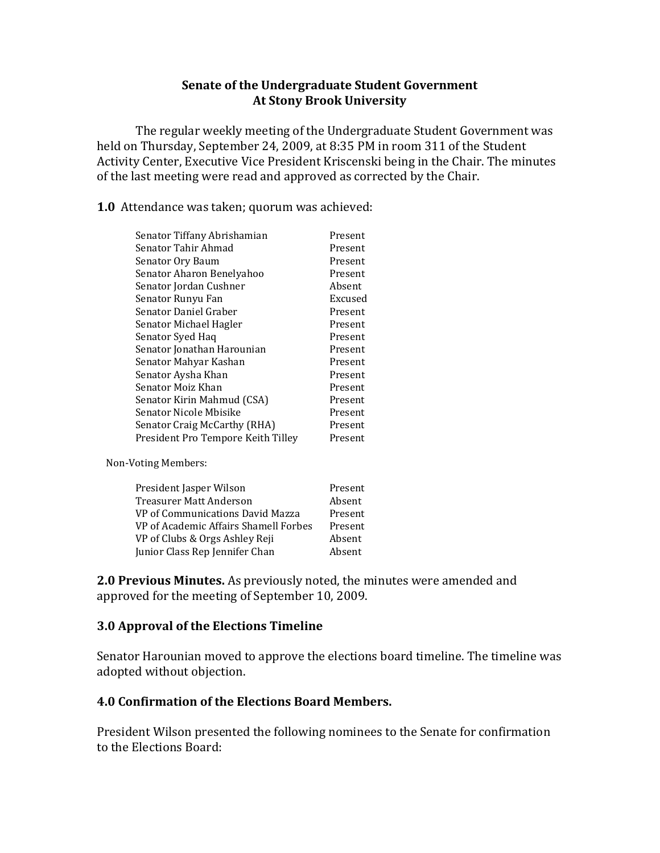# **Senate of the Undergraduate Student Government At Stony Brook University**

The regular weekly meeting of the Undergraduate Student Government was held on Thursday, September 24, 2009, at 8:35 PM in room 311 of the Student Activity Center, Executive Vice President Kriscenski being in the Chair. The minutes of the last meeting were read and approved as corrected by the Chair.

**1.0** Attendance was taken; quorum was achieved:

| Senator Tiffany Abrishamian         | Present |
|-------------------------------------|---------|
| Senator Tahir Ahmad                 | Present |
| Senator Ory Baum                    | Present |
| Senator Aharon Benelyahoo           | Present |
| Senator Jordan Cushner              | Absent  |
| Senator Runyu Fan                   | Excused |
| Senator Daniel Graber               | Present |
| Senator Michael Hagler              | Present |
| Senator Syed Haq                    | Present |
| Senator Jonathan Harounian          | Present |
| Senator Mahyar Kashan               | Present |
| Senator Aysha Khan                  | Present |
| Senator Moiz Khan                   | Present |
| Senator Kirin Mahmud (CSA)          | Present |
| Senator Nicole Mbisike              | Present |
| <b>Senator Craig McCarthy (RHA)</b> | Present |
| President Pro Tempore Keith Tilley  | Present |
|                                     |         |

Non-Voting Members:

| President Jasper Wilson               | Present |
|---------------------------------------|---------|
| Treasurer Matt Anderson               | Absent  |
| VP of Communications David Mazza      | Present |
| VP of Academic Affairs Shamell Forbes | Present |
| VP of Clubs & Orgs Ashley Reji        | Absent  |
| Junior Class Rep Jennifer Chan        | Absent  |
|                                       |         |

**2.0 Previous Minutes.** As previously noted, the minutes were amended and approved for the meeting of September 10, 2009.

# **3.0 Approval of the Elections Timeline**

Senator Harounian moved to approve the elections board timeline. The timeline was adopted without objection.

### **4.0 Confirmation of the Elections Board Members.**

President Wilson presented the following nominees to the Senate for confirmation to the Elections Board: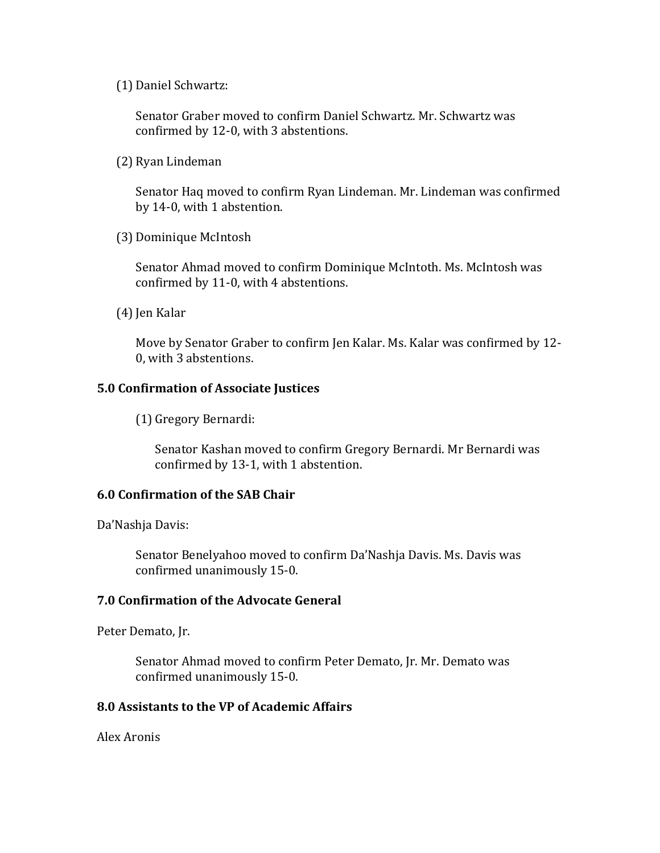(1) Daniel Schwartz:

Senator Graber moved to confirm Daniel Schwartz. Mr. Schwartz was confirmed by 12-0, with 3 abstentions.

(2) Ryan Lindeman

Senator Haq moved to confirm Ryan Lindeman. Mr. Lindeman was confirmed by 14-0, with 1 abstention.

(3) Dominique McIntosh

Senator Ahmad moved to confirm Dominique McIntoth. Ms. McIntosh was confirmed by 11-0, with 4 abstentions.

(4) Jen Kalar

Move by Senator Graber to confirm Jen Kalar. Ms. Kalar was confirmed by 12- 0, with 3 abstentions.

## **5.0 Confirmation of Associate Justices**

(1) Gregory Bernardi:

Senator Kashan moved to confirm Gregory Bernardi. Mr Bernardi was confirmed by 13-1, with 1 abstention.

### **6.0 Confirmation of the SAB Chair**

Da'Nashja Davis:

Senator Benelyahoo moved to confirm Da'Nashja Davis. Ms. Davis was confirmed unanimously 15-0.

### **7.0 Confirmation of the Advocate General**

Peter Demato, Jr.

Senator Ahmad moved to confirm Peter Demato, Jr. Mr. Demato was confirmed unanimously 15-0.

### **8.0 Assistants to the VP of Academic Affairs**

Alex Aronis